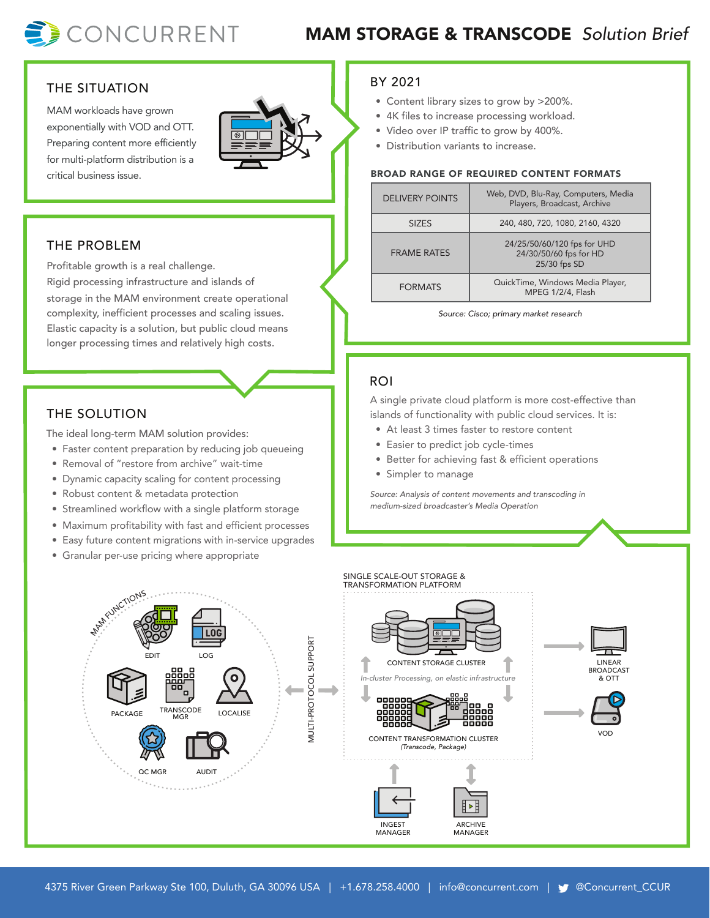

# MAM STORAGE & TRANSCODE *Solution Brief*

#### THE SITUATION

MAM workloads have grown exponentially with VOD and OTT. Preparing content more efficiently for multi-platform distribution is a critical business issue.



#### THE PROBLEM

Profitable growth is a real challenge. Rigid processing infrastructure and islands of storage in the MAM environment create operational complexity, inefficient processes and scaling issues. Elastic capacity is a solution, but public cloud means longer processing times and relatively high costs.

### THE SOLUTION

The ideal long-term MAM solution provides:

- Faster content preparation by reducing job queueing
- Removal of "restore from archive" wait-time
- Dynamic capacity scaling for content processing
- Robust content & metadata protection
- Streamlined workflow with a single platform storage
- Maximum profitability with fast and efficient processes
- Easy future content migrations with in-service upgrades
- Granular per-use pricing where appropriate

#### BY 2021

- Content library sizes to grow by >200%.
- 4K files to increase processing workload.
- Video over IP traffic to grow by 400%.
- Distribution variants to increase.

#### BROAD RANGE OF REQUIRED CONTENT FORMATS

| <b>DELIVERY POINTS</b> | Web, DVD, Blu-Ray, Computers, Media<br>Players, Broadcast, Archive    |
|------------------------|-----------------------------------------------------------------------|
| <b>SIZES</b>           | 240, 480, 720, 1080, 2160, 4320                                       |
| <b>FRAME RATES</b>     | 24/25/50/60/120 fps for UHD<br>24/30/50/60 fps for HD<br>25/30 fps SD |
| <b>FORMATS</b>         | QuickTime, Windows Media Player,<br>MPEG 1/2/4, Flash                 |

*Source: Cisco; primary market research*

#### ROI

A single private cloud platform is more cost-effective than islands of functionality with public cloud services. It is:

- At least 3 times faster to restore content
- Easier to predict job cycle-times
- Better for achieving fast & efficient operations
- Simpler to manage

*Source: Analysis of content movements and transcoding in medium-sized broadcaster's Media Operation*